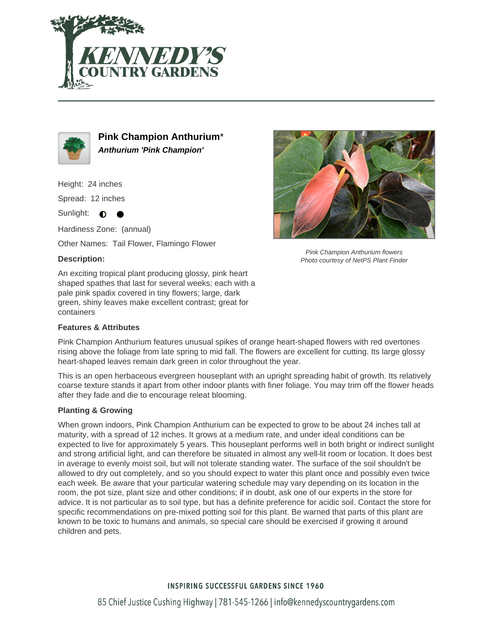



**Pink Champion Anthurium**\* **Anthurium 'Pink Champion'**

Height: 24 inches

Spread: 12 inches

Sunlight:  $\bullet$ 

Hardiness Zone: (annual)

Other Names: Tail Flower, Flamingo Flower

## **Description:**

An exciting tropical plant producing glossy, pink heart shaped spathes that last for several weeks; each with a pale pink spadix covered in tiny flowers; large, dark green, shiny leaves make excellent contrast; great for containers

## **Features & Attributes**



Pink Champion Anthurium flowers Photo courtesy of NetPS Plant Finder

Pink Champion Anthurium features unusual spikes of orange heart-shaped flowers with red overtones rising above the foliage from late spring to mid fall. The flowers are excellent for cutting. Its large glossy heart-shaped leaves remain dark green in color throughout the year.

This is an open herbaceous evergreen houseplant with an upright spreading habit of growth. Its relatively coarse texture stands it apart from other indoor plants with finer foliage. You may trim off the flower heads after they fade and die to encourage releat blooming.

## **Planting & Growing**

When grown indoors, Pink Champion Anthurium can be expected to grow to be about 24 inches tall at maturity, with a spread of 12 inches. It grows at a medium rate, and under ideal conditions can be expected to live for approximately 5 years. This houseplant performs well in both bright or indirect sunlight and strong artificial light, and can therefore be situated in almost any well-lit room or location. It does best in average to evenly moist soil, but will not tolerate standing water. The surface of the soil shouldn't be allowed to dry out completely, and so you should expect to water this plant once and possibly even twice each week. Be aware that your particular watering schedule may vary depending on its location in the room, the pot size, plant size and other conditions; if in doubt, ask one of our experts in the store for advice. It is not particular as to soil type, but has a definite preference for acidic soil. Contact the store for specific recommendations on pre-mixed potting soil for this plant. Be warned that parts of this plant are known to be toxic to humans and animals, so special care should be exercised if growing it around children and pets.

## **INSPIRING SUCCESSFUL GARDENS SINCE 1960**